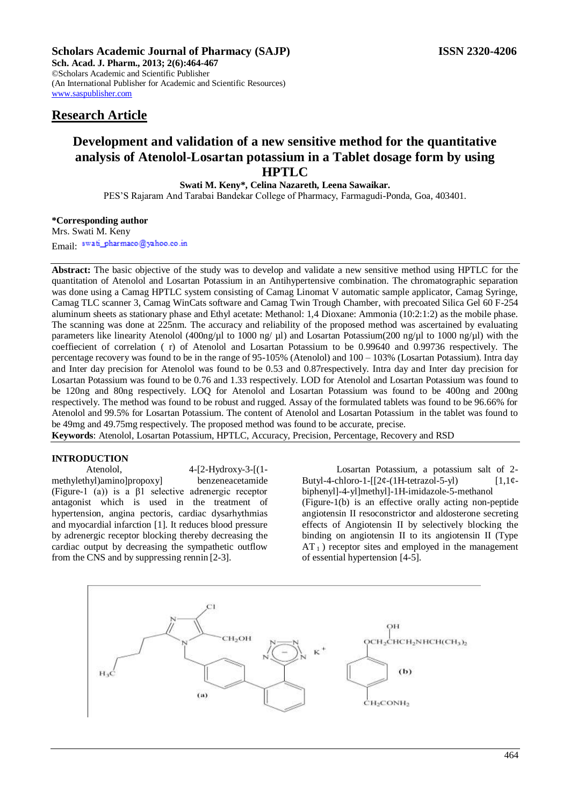**Sch. Acad. J. Pharm., 2013; 2(6):464-467** ©Scholars Academic and Scientific Publisher (An International Publisher for Academic and Scientific Resources) [www.saspublisher.com](http://www.saspublisher.com/) 

## **Research Article**

# **Development and validation of a new sensitive method for the quantitative analysis of Atenolol-Losartan potassium in a Tablet dosage form by using HPTLC**

**Swati M. Keny\*, Celina Nazareth, Leena Sawaikar.**

PES'S Rajaram And Tarabai Bandekar College of Pharmacy, Farmagudi-Ponda, Goa, 403401.

### **\*Corresponding author**

Mrs. Swati M. Keny Email: swati\_pharmaco@yahoo.co.in

**Abstract:** The basic objective of the study was to develop and validate a new sensitive method using HPTLC for the quantitation of Atenolol and Losartan Potassium in an Antihypertensive combination. The chromatographic separation was done using a Camag HPTLC system consisting of Camag Linomat V automatic sample applicator, Camag Syringe, Camag TLC scanner 3, Camag WinCats software and Camag Twin Trough Chamber, with precoated Silica Gel 60 F-254 aluminum sheets as stationary phase and Ethyl acetate: Methanol: 1,4 Dioxane: Ammonia (10:2:1:2) as the mobile phase. The scanning was done at 225nm. The accuracy and reliability of the proposed method was ascertained by evaluating parameters like linearity Atenolol (400ng/ul to 1000 ng/ ul) and Losartan Potassium(200 ng/ul to 1000 ng/ul) with the coeffiecient of correlation ( r) of Atenolol and Losartan Potassium to be 0.99640 and 0.99736 respectively. The percentage recovery was found to be in the range of 95-105% (Atenolol) and 100 – 103% (Losartan Potassium). Intra day and Inter day precision for Atenolol was found to be 0.53 and 0.87respectively. Intra day and Inter day precision for Losartan Potassium was found to be 0.76 and 1.33 respectively. LOD for Atenolol and Losartan Potassium was found to be 120ng and 80ng respectively. LOQ for Atenolol and Losartan Potassium was found to be 400ng and 200ng respectively. The method was found to be robust and rugged. Assay of the formulated tablets was found to be 96.66% for Atenolol and 99.5% for Losartan Potassium. The content of Atenolol and Losartan Potassium in the tablet was found to be 49mg and 49.75mg respectively. The proposed method was found to be accurate, precise.

**Keywords**: Atenolol, Losartan Potassium, HPTLC, Accuracy, Precision, Percentage, Recovery and RSD

### **INTRODUCTION**

Atenolol, 4-[2-Hydroxy-3-[(1 methylethyl)amino]propoxy] benzeneacetamide (Figure-1 (a)) is a β1 selective adrenergic receptor antagonist which is used in the treatment of hypertension, angina pectoris, cardiac dysarhythmias and myocardial infarction [1]. It reduces blood pressure by adrenergic receptor blocking thereby decreasing the cardiac output by decreasing the sympathetic outflow from the CNS and by suppressing rennin [2-3].

Losartan Potassium, a potassium salt of 2- Butyl-4-chloro-1- $[2\psi$ -(1H-tetrazol-5-yl) [1,1 $\psi$ biphenyl]-4-yl]methyl]-1H-imidazole-5-methanol (Figure-1(b) is an effective orally acting non-peptide angiotensin II resoconstrictor and aldosterone secreting effects of Angiotensin II by selectively blocking the binding on angiotensin II to its angiotensin II (Type  $AT_1$ ) receptor sites and employed in the management of essential hypertension [4-5].

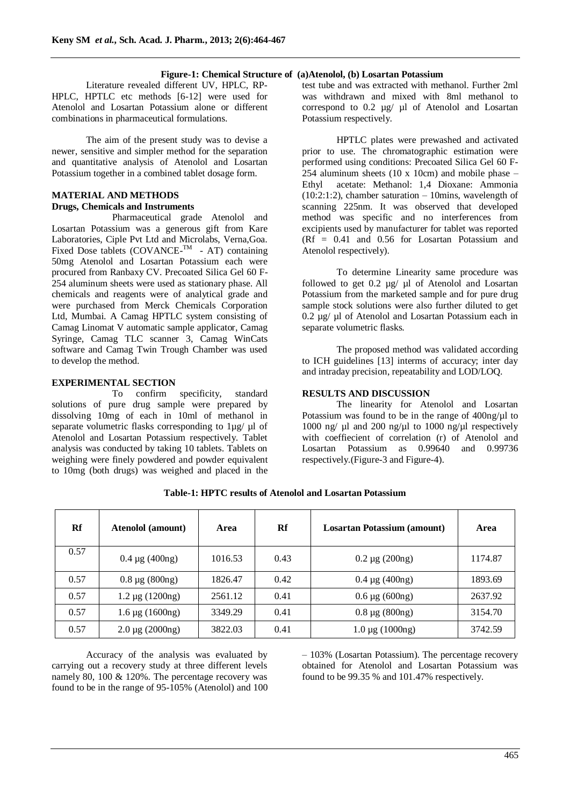#### **Figure-1: Chemical Structure of (a)Atenolol, (b) Losartan Potassium**

Literature revealed different UV, HPLC, RP-HPLC, HPTLC etc methods [6-12] were used for Atenolol and Losartan Potassium alone or different combinations in pharmaceutical formulations.

The aim of the present study was to devise a newer, sensitive and simpler method for the separation and quantitative analysis of Atenolol and Losartan Potassium together in a combined tablet dosage form.

#### **MATERIAL AND METHODS Drugs, Chemicals and Instruments**

Pharmaceutical grade Atenolol and Losartan Potassium was a generous gift from Kare Laboratories, Ciple Pvt Ltd and Microlabs, Verna,Goa. Fixed Dose tablets (COVANCE- $^{TM}$  - AT) containing 50mg Atenolol and Losartan Potassium each were procured from Ranbaxy CV. Precoated Silica Gel 60 F-254 aluminum sheets were used as stationary phase. All chemicals and reagents were of analytical grade and were purchased from Merck Chemicals Corporation Ltd, Mumbai. A Camag HPTLC system consisting of Camag Linomat V automatic sample applicator, Camag Syringe, Camag TLC scanner 3, Camag WinCats software and Camag Twin Trough Chamber was used to develop the method.

### **EXPERIMENTAL SECTION**

To confirm specificity, standard solutions of pure drug sample were prepared by dissolving 10mg of each in 10ml of methanol in separate volumetric flasks corresponding to  $1\mu$ g/  $\mu$ l of Atenolol and Losartan Potassium respectively. Tablet analysis was conducted by taking 10 tablets. Tablets on weighing were finely powdered and powder equivalent to 10mg (both drugs) was weighed and placed in the

test tube and was extracted with methanol. Further 2ml was withdrawn and mixed with 8ml methanol to correspond to  $0.2 \mu g / \mu l$  of Atenolol and Losartan Potassium respectively.

HPTLC plates were prewashed and activated prior to use. The chromatographic estimation were performed using conditions: Precoated Silica Gel 60 F-254 aluminum sheets (10 x 10cm) and mobile phase  $-$ Ethyl acetate: Methanol: 1,4 Dioxane: Ammonia  $(10:2:1:2)$ , chamber saturation – 10mins, wavelength of scanning 225nm. It was observed that developed method was specific and no interferences from excipients used by manufacturer for tablet was reported (Rf = 0.41 and 0.56 for Losartan Potassium and Atenolol respectively).

To determine Linearity same procedure was followed to get 0.2 µg/ µl of Atenolol and Losartan Potassium from the marketed sample and for pure drug sample stock solutions were also further diluted to get 0.2 µg/ µl of Atenolol and Losartan Potassium each in separate volumetric flasks.

The proposed method was validated according to ICH guidelines [13] interms of accuracy; inter day and intraday precision, repeatability and LOD/LOQ.

#### **RESULTS AND DISCUSSION**

The linearity for Atenolol and Losartan Potassium was found to be in the range of  $400ng/$ ul to 1000 ng/ $\mu$ l and 200 ng/ $\mu$ l to 1000 ng/ $\mu$ l respectively with coeffiecient of correlation (r) of Atenolol and Losartan Potassium as 0.99640 and 0.99736 respectively.(Figure-3 and Figure-4).

| Rf   | <b>Atenolol</b> (amount) | Area    | Rf   | <b>Losartan Potassium (amount)</b> | Area    |
|------|--------------------------|---------|------|------------------------------------|---------|
| 0.57 | $0.4 \mu g (400ng)$      | 1016.53 | 0.43 | $0.2 \mu g (200ng)$                | 1174.87 |
| 0.57 | $0.8 \mu g (800ng)$      | 1826.47 | 0.42 | $0.4 \mu$ g (400ng)                | 1893.69 |
| 0.57 | $1.2 \mu$ g (1200ng)     | 2561.12 | 0.41 | $0.6 \mu g (600ng)$                | 2637.92 |
| 0.57 | $1.6 \mu g (1600ng)$     | 3349.29 | 0.41 | $0.8 \mu g (800ng)$                | 3154.70 |
| 0.57 | $2.0 \mu g (2000ng)$     | 3822.03 | 0.41 | $1.0 \mu$ g (1000ng)               | 3742.59 |

**Table-1: HPTC results of Atenolol and Losartan Potassium**

Accuracy of the analysis was evaluated by carrying out a recovery study at three different levels namely 80, 100 & 120%. The percentage recovery was found to be in the range of 95-105% (Atenolol) and 100 – 103% (Losartan Potassium). The percentage recovery obtained for Atenolol and Losartan Potassium was found to be 99.35 % and 101.47% respectively.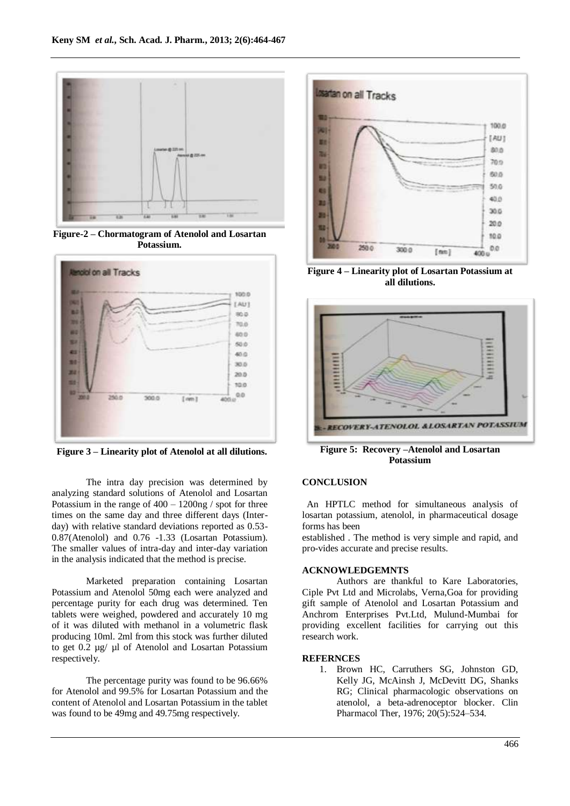

**Figure-2 – Chormatogram of Atenolol and Losartan Potassium.**



**Figure 3 – Linearity plot of Atenolol at all dilutions.**

The intra day precision was determined by analyzing standard solutions of Atenolol and Losartan Potassium in the range of  $400 - 1200$ ng / spot for three times on the same day and three different days (Interday) with relative standard deviations reported as 0.53- 0.87(Atenolol) and 0.76 -1.33 (Losartan Potassium). The smaller values of intra-day and inter-day variation in the analysis indicated that the method is precise.

Marketed preparation containing Losartan Potassium and Atenolol 50mg each were analyzed and percentage purity for each drug was determined. Ten tablets were weighed, powdered and accurately 10 mg of it was diluted with methanol in a volumetric flask producing 10ml. 2ml from this stock was further diluted to get 0.2 µg/ µl of Atenolol and Losartan Potassium respectively.

The percentage purity was found to be 96.66% for Atenolol and 99.5% for Losartan Potassium and the content of Atenolol and Losartan Potassium in the tablet was found to be 49mg and 49.75mg respectively.



**Figure 4 – Linearity plot of Losartan Potassium at all dilutions.**



**Figure 5: Recovery –Atenolol and Losartan Potassium**

#### **CONCLUSION**

 An HPTLC method for simultaneous analysis of losartan potassium, atenolol, in pharmaceutical dosage forms has been

established . The method is very simple and rapid, and pro-vides accurate and precise results.

### **ACKNOWLEDGEMNTS**

Authors are thankful to Kare Laboratories, Ciple Pvt Ltd and Microlabs, Verna,Goa for providing gift sample of Atenolol and Losartan Potassium and Anchrom Enterprises Pvt.Ltd, Mulund-Mumbai for providing excellent facilities for carrying out this research work.

#### **REFERNCES**

1. Brown HC, Carruthers SG, Johnston GD, Kelly JG, McAinsh J, McDevitt DG, Shanks RG; Clinical pharmacologic observations on atenolol, a beta-adrenoceptor blocker. Clin Pharmacol Ther, 1976; 20(5):524–534.